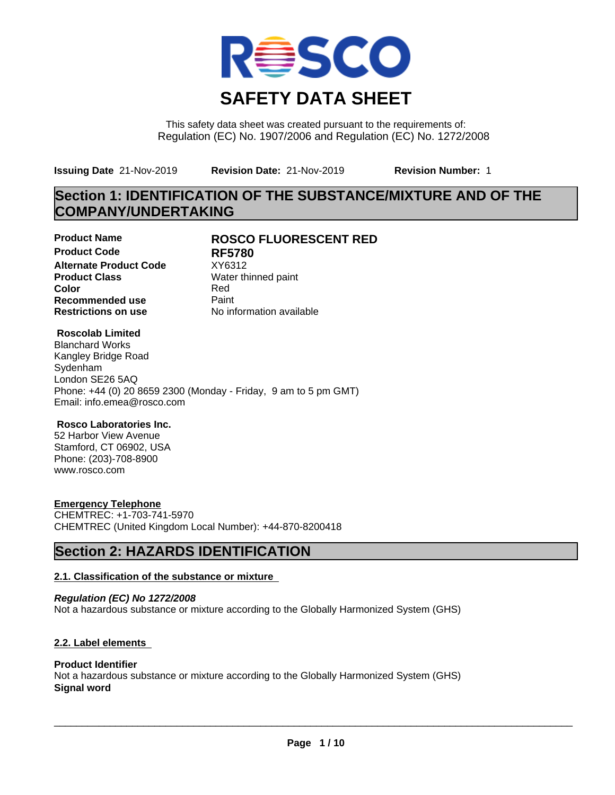

This safety data sheet was created pursuant to the requirements of: Regulation (EC) No. 1907/2006 and Regulation (EC) No. 1272/2008

**Issuing Date** 21-Nov-2019 **Revision Date:** 21-Nov-2019 **Revision Number:** 1

# **Section 1: IDENTIFICATION OF THE SUBSTANCE/MIXTURE AND OF THE COMPANY/UNDERTAKING**

**Product Code RF5780 Alternate Product Code** XY6312<br> **Product Class** Water th **Color** Red **Recommended use** Paint<br> **Restrictions on use** Mo information available **Restrictions on use** 

## **Product Name ROSCO FLUORESCENT RED**

**Water thinned paint** 

## **Roscolab Limited**

Blanchard Works Kangley Bridge Road Sydenham London SE26 5AQ Phone: +44 (0) 20 8659 2300 (Monday - Friday, 9 am to 5 pm GMT) Email: info.emea@rosco.com

## **Rosco Laboratories Inc.**

52 Harbor View Avenue Stamford, CT 06902, USA Phone: (203)-708-8900 www.rosco.com

## **Emergency Telephone**

CHEMTREC: +1-703-741-5970 CHEMTREC (United Kingdom Local Number): +44-870-8200418

# **Section 2: HAZARDS IDENTIFICATION**

## **2.1. Classification of the substance or mixture**

*Regulation (EC) No 1272/2008* Not a hazardous substance or mixture according to the Globally Harmonized System (GHS)

## **2.2. Label elements**

## **Product Identifier**

Not a hazardous substance or mixture according to the Globally Harmonized System (GHS) **Signal word**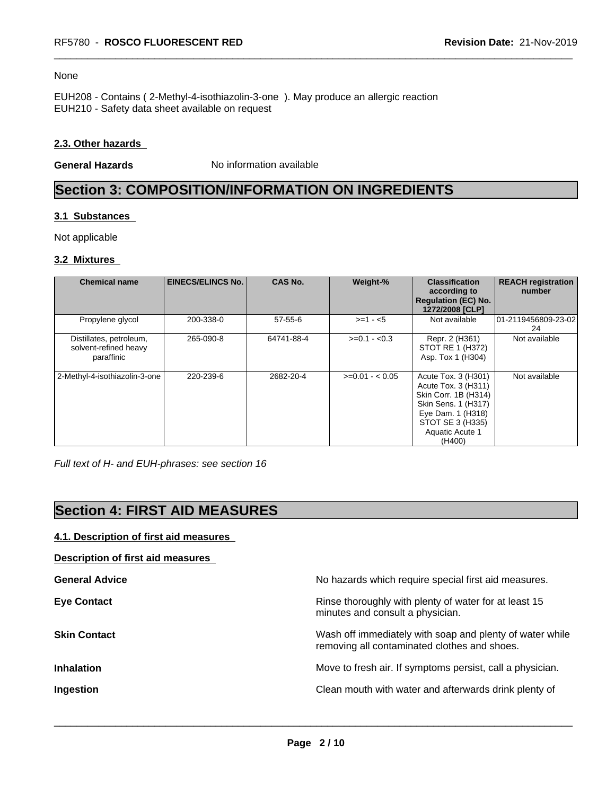#### None

EUH208 - Contains ( 2-Methyl-4-isothiazolin-3-one ). May produce an allergic reaction EUH210 - Safety data sheet available on request

## **2.3. Other hazards**

**General Hazards** No information available

# **Section 3: COMPOSITION/INFORMATION ON INGREDIENTS**

### **3.1 Substances**

Not applicable

### **3.2 Mixtures**

| <b>Chemical name</b>                                           | <b>EINECS/ELINCS No.</b> | <b>CAS No.</b> | Weight-%        | <b>Classification</b><br>according to<br><b>Regulation (EC) No.</b><br>1272/2008 [CLP]                                                                          | <b>REACH registration</b><br>number |
|----------------------------------------------------------------|--------------------------|----------------|-----------------|-----------------------------------------------------------------------------------------------------------------------------------------------------------------|-------------------------------------|
| Propylene glycol                                               | 200-338-0                | $57 - 55 - 6$  | $>=1 - 5$       | Not available                                                                                                                                                   | 101-2119456809-23-02<br>24          |
| Distillates, petroleum,<br>solvent-refined heavy<br>paraffinic | 265-090-8                | 64741-88-4     | $>=0.1 - 0.3$   | Repr. 2 (H361)<br>STOT RE 1 (H372)<br>Asp. Tox 1 (H304)                                                                                                         | Not available                       |
| 2-Methyl-4-isothiazolin-3-one                                  | 220-239-6                | 2682-20-4      | $>=0.01 - 0.05$ | Acute Tox. 3 (H301)<br>Acute Tox. 3 (H311)<br>Skin Corr. 1B (H314)<br>Skin Sens. 1 (H317)<br>Eye Dam. 1 (H318)<br>STOT SE 3 (H335)<br>Aquatic Acute 1<br>(H400) | Not available                       |

*Full text of H- and EUH-phrases: see section 16*

# **Section 4: FIRST AID MEASURES**

## **4.1. Description of first aid measures**

**Description of first aid measures**

| <b>General Advice</b> | No hazards which require special first aid measures.                                                     |
|-----------------------|----------------------------------------------------------------------------------------------------------|
| <b>Eye Contact</b>    | Rinse thoroughly with plenty of water for at least 15<br>minutes and consult a physician.                |
| <b>Skin Contact</b>   | Wash off immediately with soap and plenty of water while<br>removing all contaminated clothes and shoes. |
| <b>Inhalation</b>     | Move to fresh air. If symptoms persist, call a physician.                                                |
| Ingestion             | Clean mouth with water and afterwards drink plenty of                                                    |
|                       |                                                                                                          |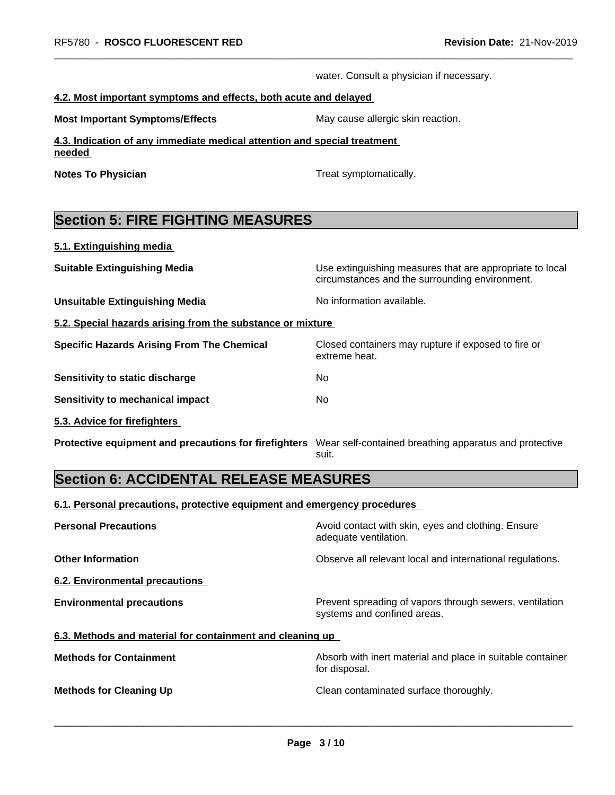water. Consult a physician if necessary.

#### **4.2. Most important symptoms and effects, both acute and delayed**

**Most Important Symptoms/Effects** May cause allergic skin reaction.

**4.3. Indication of any immediate medical attention and special treatment needed** 

**Notes To Physician Treat symptomatically.** 

extreme heat.

# **Section 5: FIRE FIGHTING MEASURES**

**5.1. Extinguishing media**

**Suitable Extinguishing Media** Media Use extinguishing measures that are appropriate to local

**Unsuitable Extinguishing Media** Noinformation available.

**5.2. Special hazards arising from the substance or mixture**

**Specific Hazards Arising From The Chemical Closed containers may rupture if exposed to fire or** 

**Sensitivity to static discharge** No

**Sensitivity to mechanical impact** No

**5.3. Advice for firefighters** 

**Protective equipment and precautions for firefighters** Wear self-contained breathing apparatus and protective

suit.

circumstances and the surrounding environment.

# **Section 6: ACCIDENTAL RELEASE MEASURES**

**6.1. Personal precautions, protective equipment and emergency procedures**

| <b>Personal Precautions</b>                               | Avoid contact with skin, eyes and clothing. Ensure<br>adequate ventilation.            |
|-----------------------------------------------------------|----------------------------------------------------------------------------------------|
| <b>Other Information</b>                                  | Observe all relevant local and international regulations.                              |
| 6.2. Environmental precautions                            |                                                                                        |
| <b>Environmental precautions</b>                          | Prevent spreading of vapors through sewers, ventilation<br>systems and confined areas. |
| 6.3. Methods and material for containment and cleaning up |                                                                                        |
| <b>Methods for Containment</b>                            | Absorb with inert material and place in suitable container<br>for disposal.            |
| <b>Methods for Cleaning Up</b>                            | Clean contaminated surface thoroughly.                                                 |
|                                                           |                                                                                        |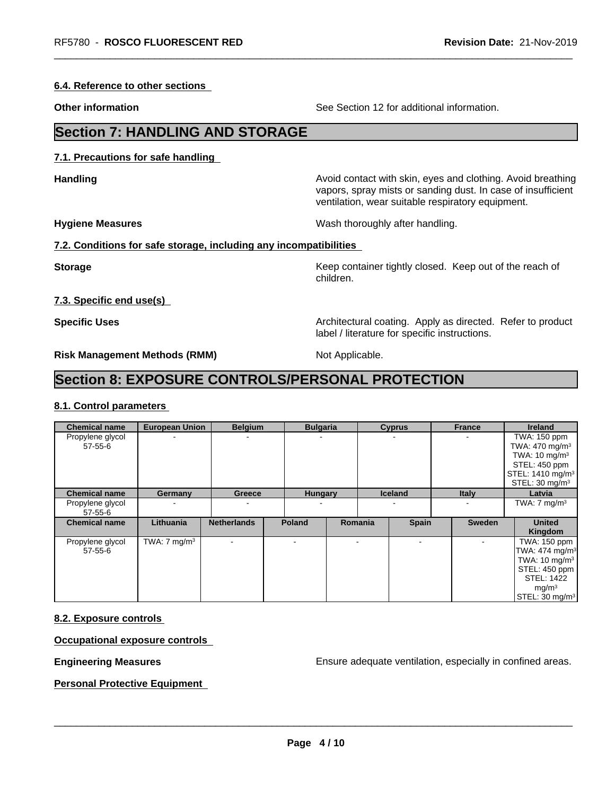**6.4. Reference to other sections**

**Other information** See Section 12 for additional information.

# **Section 7: HANDLING AND STORAGE**

**7.1. Precautions for safe handling**

**Handling Handling Avoid contact with skin, eyes and clothing. Avoid breathing** 

ventilation, wear suitable respiratory equipment.

label / literature for specific instructions.

**Hygiene Measures** Mash thoroughly after handling.

### **7.2. Conditions for safe storage, including any incompatibilities**

**Storage Keep container tightly closed.** Keep out of the reach of children.

vapors, spray mists or sanding dust. In case of insufficient

**7.3. Specific end use(s)**

**Specific Uses Architectural coating. Apply as directed. Refer to product Specific Uses** 

**Risk Management Methods (RMM)** Not Applicable.

# **Section 8: EXPOSURE CONTROLS/PERSONAL PROTECTION**

## **8.1. Control parameters**

| <b>Chemical name</b>              | <b>European Union</b>   | <b>Belgium</b>           | <b>Bulgaria</b> |         | <b>Cyprus</b>  | <b>France</b> | <b>Ireland</b>                                                                                                                                           |
|-----------------------------------|-------------------------|--------------------------|-----------------|---------|----------------|---------------|----------------------------------------------------------------------------------------------------------------------------------------------------------|
| Propylene glycol<br>$57 - 55 - 6$ |                         | ۰                        |                 |         |                |               | TWA: 150 ppm<br>TWA: $470 \text{ mg/m}^3$<br>TWA: $10 \text{ mg/m}^3$<br>STEL: 450 ppm<br>STEL: 1410 mg/m <sup>3</sup><br>STEL: 30 mg/m <sup>3</sup>     |
| <b>Chemical name</b>              | Germany                 | Greece                   | <b>Hungary</b>  |         | <b>Iceland</b> | <b>Italy</b>  | Latvia                                                                                                                                                   |
| Propylene glycol<br>57-55-6       |                         | ۰                        |                 |         |                |               | TWA: $7 \text{ mg/m}^3$                                                                                                                                  |
| <b>Chemical name</b>              | Lithuania               | <b>Netherlands</b>       | <b>Poland</b>   | Romania | <b>Spain</b>   | <b>Sweden</b> | <b>United</b><br>Kingdom                                                                                                                                 |
| Propylene glycol<br>$57 - 55 - 6$ | TWA: $7 \text{ mg/m}^3$ | $\overline{\phantom{a}}$ |                 |         | $\,$           |               | TWA: 150 ppm<br>TWA: 474 mg/m <sup>3</sup><br>TWA: $10 \text{ mg/m}^3$<br>STEL: 450 ppm<br>STEL: 1422<br>mg/m <sup>3</sup><br>STEL: 30 mg/m <sup>3</sup> |

## **8.2. Exposure controls**

## **Occupational exposure controls**

**Engineering Measures Engineering Measures Engineering Measures Ensure adequate ventilation, especially in confined areas.** 

**Personal Protective Equipment**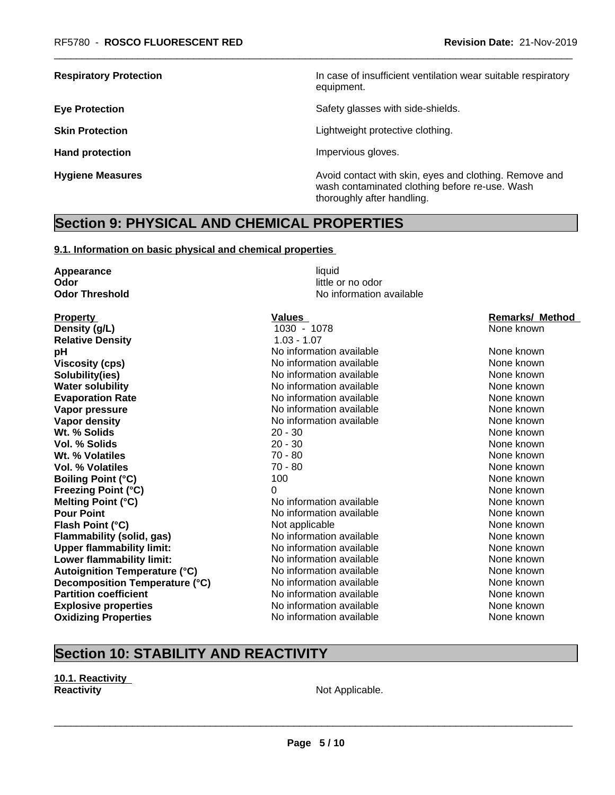**Respiratory Protection In case of insufficient ventilation wear suitable respiratory** equipment.

**Eye Protection Exercise Safety glasses with side-shields.** 

**Skin Protection Skin Protection Lightweight protective clothing.** 

**Hand protection Impervious gloves.** 

**Hygiene Measures Avoid contact with skin, eyes and clothing. Remove and Avoid contact with skin, eyes and clothing. Remove and Avoid contact with skin, eyes and clothing. Remove and** wash contaminated clothing before re-use. Wash thoroughly after handling.

# **Section 9: PHYSICAL AND CHEMICAL PROPERTIES**

#### **9.1. Information on basic physical and chemical properties**

**Appearance** liquid **Odor** little or no odor

Property **Property Control Control Values** Values **Values Remarks/ Method Density (g/L) Remarks/ Method 1030 - 1078 Remarks/ Method None known Density (g/L)** 1030 - 1078 None known **Relative Density** 1.03 - 1.07 **pH how information available Noting the None known None known Viscosity (cps)** No information available None known None known **Solubility(ies)** No information available None known None known **Water solubility** Note 2008 Note 2012 Note 2012 None known None known None known None known **Evaporation Rate Notify Algebra 2012 M** No information available **None known** None known **Vapor pressure** No information available None known None known **Vapor density** Notington available None known None known **Wt. % Solids** 20 - 30 None known **None known Vol. % Solids** 20 - 30 None known **20 - 30 None known Wt. % Volatiles** 70 - 80 None known **Vol. % Volatiles** 70 - 80 None known **Boiling Point (°C)** 100 100 None known **Freezing Point (°C)** 0 None known **Melting Point (°C)** Noinformation available None known **Pour Point** No information available None known None known **Flash Point (°C) Not applicable Mone Known None known None known Flammability (solid, gas)** No information available None Known None known **Upper flammability limit:** No information available None known None known **Lower flammability limit:** No information available None Known None known **Autoignition Temperature (°C)** No information available None known **Decomposition Temperature (°C)** No information available None Known None known **Partition coefficient** and the information available None known None known **Explosive properties** The None Known No information available None Known None known **Oxidizing Properties No information available** None known

**Odor Threshold** No information available

# **Section 10: STABILITY AND REACTIVITY**

**10.1. Reactivity Reactivity Not Applicable. Not Applicable.**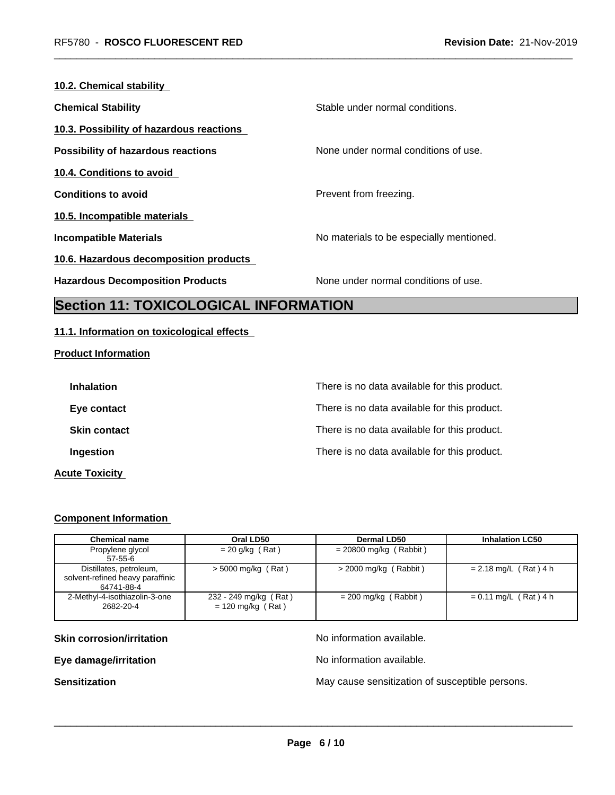| 10.2. Chemical stability                  |                                          |
|-------------------------------------------|------------------------------------------|
| <b>Chemical Stability</b>                 | Stable under normal conditions.          |
| 10.3. Possibility of hazardous reactions  |                                          |
| <b>Possibility of hazardous reactions</b> | None under normal conditions of use.     |
| 10.4. Conditions to avoid                 |                                          |
| <b>Conditions to avoid</b>                | Prevent from freezing.                   |
| 10.5. Incompatible materials              |                                          |
| <b>Incompatible Materials</b>             | No materials to be especially mentioned. |
| 10.6. Hazardous decomposition products    |                                          |
| <b>Hazardous Decomposition Products</b>   | None under normal conditions of use.     |
|                                           |                                          |

# **Section 11: TOXICOLOGICAL INFORMATION**

## **11.1. Information on toxicological effects**

## **Product Information**

| <b>Inhalation</b>     | There is no data available for this product. |
|-----------------------|----------------------------------------------|
| Eye contact           | There is no data available for this product. |
| <b>Skin contact</b>   | There is no data available for this product. |
| Ingestion             | There is no data available for this product. |
| <b>Acute Toxicity</b> |                                              |

## **Component Information**

| <b>Chemical name</b>                                                      | Oral LD50                                    | Dermal LD50              | <b>Inhalation LC50</b>  |
|---------------------------------------------------------------------------|----------------------------------------------|--------------------------|-------------------------|
| Propylene glycol<br>$57 - 55 - 6$                                         | $= 20$ g/kg (Rat)                            | $= 20800$ mg/kg (Rabbit) |                         |
| Distillates, petroleum,<br>solvent-refined heavy paraffinic<br>64741-88-4 | $>$ 5000 mg/kg (Rat)                         | $>$ 2000 mg/kg (Rabbit)  | $= 2.18$ mg/L (Rat) 4 h |
| 2-Methyl-4-isothiazolin-3-one<br>2682-20-4                                | 232 - 249 mg/kg (Rat)<br>$= 120$ mg/kg (Rat) | $= 200$ mg/kg (Rabbit)   | $= 0.11$ mg/L (Rat) 4 h |

**Skin corrosion/irritation** No information available.

**Eye damage/irritation Eye damage/irritation No information available.** 

 $\overline{\phantom{a}}$  ,  $\overline{\phantom{a}}$  ,  $\overline{\phantom{a}}$  ,  $\overline{\phantom{a}}$  ,  $\overline{\phantom{a}}$  ,  $\overline{\phantom{a}}$  ,  $\overline{\phantom{a}}$  ,  $\overline{\phantom{a}}$  ,  $\overline{\phantom{a}}$  ,  $\overline{\phantom{a}}$  ,  $\overline{\phantom{a}}$  ,  $\overline{\phantom{a}}$  ,  $\overline{\phantom{a}}$  ,  $\overline{\phantom{a}}$  ,  $\overline{\phantom{a}}$  ,  $\overline{\phantom{a}}$ 

**Sensitization Sensitization** May cause sensitization of susceptible persons.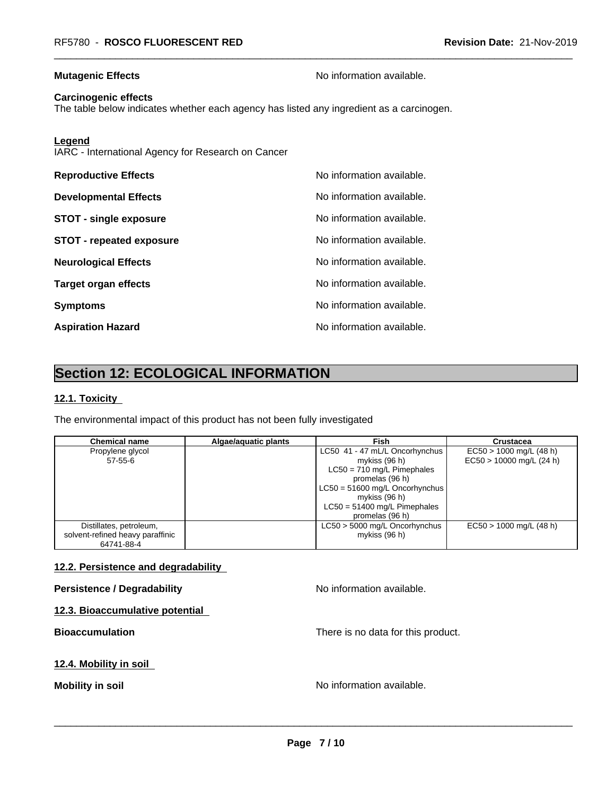**Mutagenic Effects Mutagenic Effects No information available.** 

#### **Carcinogenic effects**

The table below indicates whether each agency has listed any ingredient as a carcinogen.

**Legend**

IARC - International Agency for Research on Cancer

| <b>Reproductive Effects</b>     | No information available. |
|---------------------------------|---------------------------|
| <b>Developmental Effects</b>    | No information available. |
| <b>STOT - single exposure</b>   | No information available. |
| <b>STOT - repeated exposure</b> | No information available. |
| <b>Neurological Effects</b>     | No information available. |
| <b>Target organ effects</b>     | No information available. |
| <b>Symptoms</b>                 | No information available. |
| <b>Aspiration Hazard</b>        | No information available. |

# **Section 12: ECOLOGICAL INFORMATION**

## **12.1. Toxicity**

The environmental impact of this product has not been fully investigated

| <b>Chemical name</b>             | Algae/aguatic plants | Fish                           | <b>Crustacea</b>           |
|----------------------------------|----------------------|--------------------------------|----------------------------|
| Propylene glycol                 |                      | LC50 41 - 47 mL/L Oncorhynchus | $EC50 > 1000$ mg/L (48 h)  |
| 57-55-6                          |                      | mykiss (96 h)                  | $EC50 > 10000$ mg/L (24 h) |
|                                  |                      | $LC50 = 710$ mg/L Pimephales   |                            |
|                                  |                      | promelas (96 h)                |                            |
|                                  |                      | LC50 = 51600 mg/L Oncorhynchus |                            |
|                                  |                      | mykiss (96 h)                  |                            |
|                                  |                      | $LC50 = 51400$ mg/L Pimephales |                            |
|                                  |                      | promelas (96 h)                |                            |
| Distillates, petroleum,          |                      | LC50 > 5000 mg/L Oncorhynchus  | $EC50 > 1000$ mg/L (48 h)  |
| solvent-refined heavy paraffinic |                      | mykiss (96 h)                  |                            |
| 64741-88-4                       |                      |                                |                            |

#### **12.2. Persistence and degradability**

#### **Persistence / Degradability No information available.**

**12.3. Bioaccumulative potential**

**Bioaccumulation** There is no data for this product.

## **12.4. Mobility in soil**

**Mobility** in soil **Mobility** in soil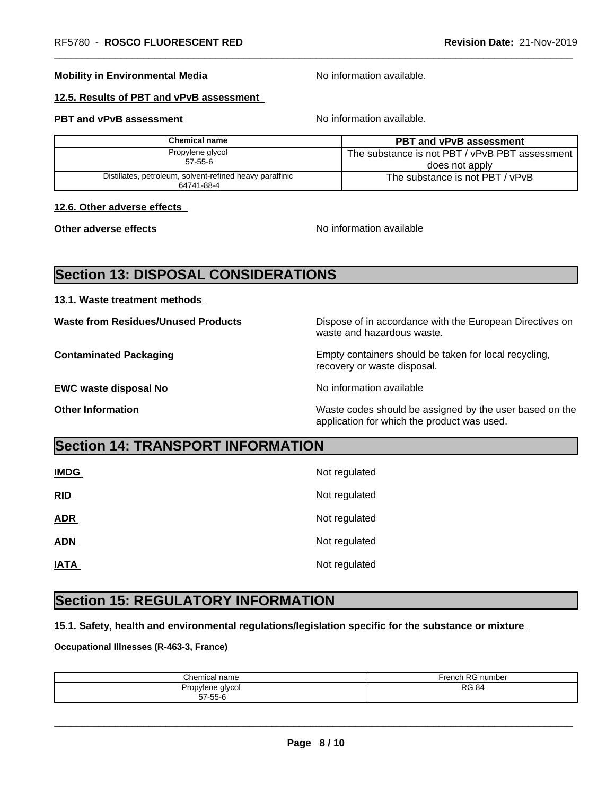#### **Mobility in Environmental Media** Noinformation available.

## **12.5. Results of PBT and vPvB assessment**

#### **PBT and vPvB assessment No information available.**

| Chemical name                                                          | <b>PBT and vPvB assessment</b>                 |
|------------------------------------------------------------------------|------------------------------------------------|
| Propylene glycol                                                       | The substance is not PBT / vPvB PBT assessment |
| $57 - 55 - 6$                                                          | does not apply                                 |
| Distillates, petroleum, solvent-refined heavy paraffinic<br>64741-88-4 | The substance is not PBT / vPvB                |

#### **12.6. Other adverse effects**

**Other adverse effects** No information available

# **Section 13: DISPOSAL CONSIDERATIONS**

#### **13.1. Waste treatment methods**

**Waste from Residues/Unused Products** Dispose of in accordance with the European Directives on waste and hazardous waste.

**Contaminated Packaging <b>Empty Containers** should be taken for local recycling, recovery or waste disposal.

**EWC waste disposal No** Noinformation available

**Other Information** Waste codes should be assigned by the user based on the application for which the product was used.

# **Section 14: TRANSPORT INFORMATION**

| <b>IMDG</b> | Not regulated |
|-------------|---------------|
| RID         | Not regulated |
| <b>ADR</b>  | Not regulated |
| <b>ADN</b>  | Not regulated |
| <b>IATA</b> | Not regulated |

# **Section 15: REGULATORY INFORMATION**

### **15.1. Safety, health and environmental regulations/legislation specific for the substance or mixture**

### **Occupational Illnesses (R-463-3, France)**

| Chemical                          | French       |
|-----------------------------------|--------------|
| . name                            | RG number) ا |
| Propylene glycol<br>$57 - 55 - 6$ | <b>RG 84</b> |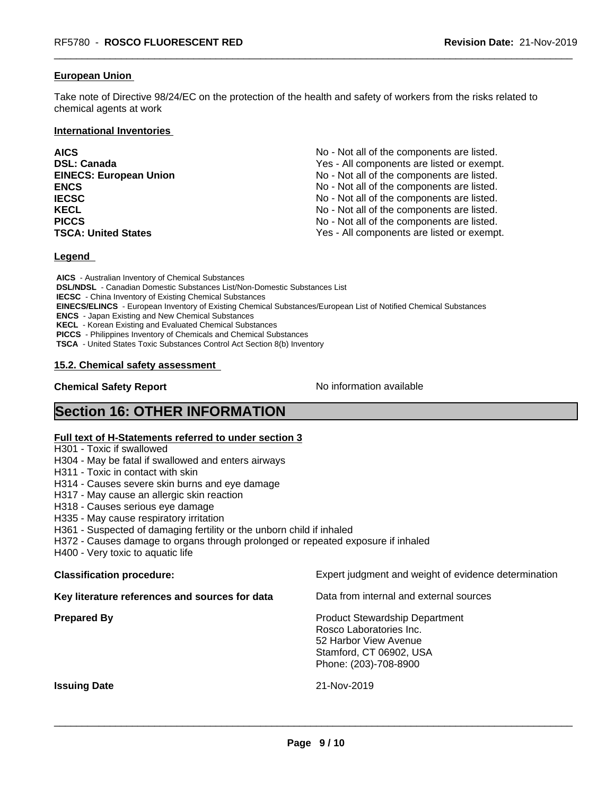#### **European Union**

Take note of Directive 98/24/EC on the protection of the health and safety of workers from the risks related to chemical agents at work

#### **International Inventories**

| <b>AICS</b>                   | No - Not all of the components are listed. |
|-------------------------------|--------------------------------------------|
| <b>DSL: Canada</b>            | Yes - All components are listed or exempt. |
| <b>EINECS: European Union</b> | No - Not all of the components are listed. |
| <b>ENCS</b>                   | No - Not all of the components are listed. |
| <b>IECSC</b>                  | No - Not all of the components are listed. |
| <b>KECL</b>                   | No - Not all of the components are listed. |
| <b>PICCS</b>                  | No - Not all of the components are listed. |
| <b>TSCA: United States</b>    | Yes - All components are listed or exempt. |

#### **Legend**

 **AICS** - Australian Inventory of Chemical Substances  **DSL/NDSL** - Canadian Domestic Substances List/Non-Domestic Substances List  **IECSC** - China Inventory of Existing Chemical Substances  **EINECS/ELINCS** - European Inventory of Existing Chemical Substances/European List of Notified Chemical Substances  **ENCS** - Japan Existing and New Chemical Substances  **KECL** - Korean Existing and Evaluated Chemical Substances  **PICCS** - Philippines Inventory of Chemicals and Chemical Substances  **TSCA** - United States Toxic Substances Control Act Section 8(b) Inventory

#### **15.2. Chemical safety assessment**

**Chemical Safety Report** No information available

# **Section 16: OTHER INFORMATION**

#### **Full text of H-Statements referred to under section 3**

- H301 Toxic if swallowed
- H304 May be fatal if swallowed and enters airways
- H311 Toxic in contact with skin
- H314 Causes severe skin burns and eye damage
- H317 May cause an allergic skin reaction
- H318 Causes serious eye damage
- H335 May cause respiratory irritation
- H361 Suspected of damaging fertility or the unborn child if inhaled
- H372 Causes damage to organs through prolonged or repeated exposure if inhaled
- H400 Very toxic to aquatic life

| <b>Classification procedure:</b>               | Expert judgment and weight of evidence determination                                                                                          |
|------------------------------------------------|-----------------------------------------------------------------------------------------------------------------------------------------------|
| Key literature references and sources for data | Data from internal and external sources                                                                                                       |
| <b>Prepared By</b>                             | <b>Product Stewardship Department</b><br>Rosco Laboratories Inc.<br>52 Harbor View Avenue<br>Stamford, CT 06902, USA<br>Phone: (203)-708-8900 |
| <b>Issuing Date</b>                            | 21-Nov-2019                                                                                                                                   |
|                                                |                                                                                                                                               |